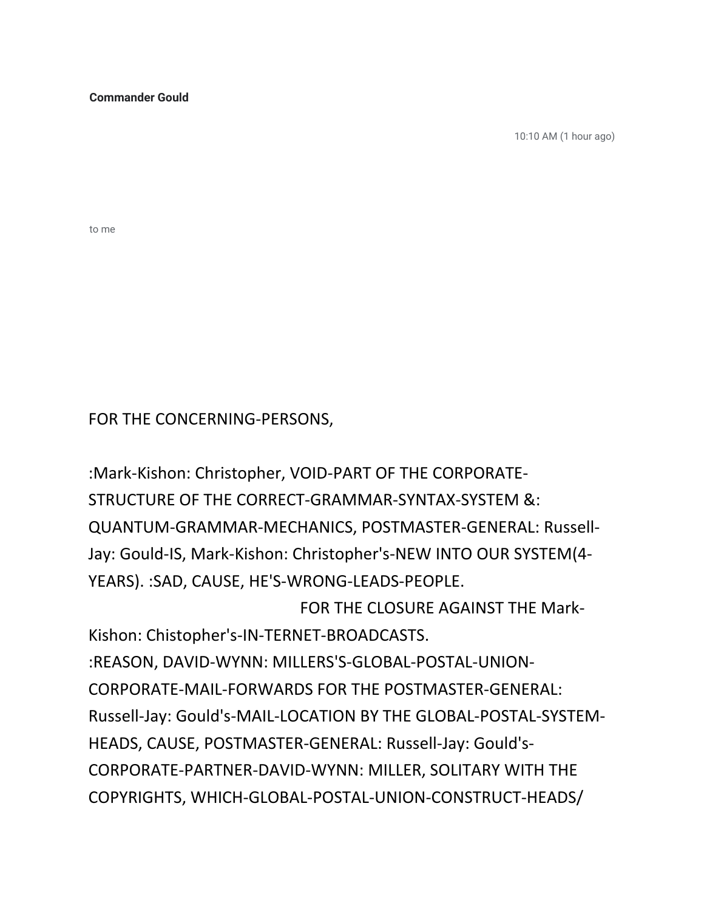**Commander Gould**

10:10 AM (1 hour ago)

to me

FOR THE CONCERNING-PERSONS,

: Mark-Kishon: Christopher, VOID-PART OF THE CORPORATE-STRUCTURE OF THE CORRECT-GRAMMAR-SYNTAX-SYSTEM &: QUANTUM-GRAMMAR-MECHANICS, POSTMASTER-GENERAL: Russell-Jay: Gould-IS, Mark-Kishon: Christopher's-NEW INTO OUR SYSTEM(4-YEARS). : SAD, CAUSE, HE'S-WRONG-LEADS-PEOPLE. FOR THE CLOSURE AGAINST THE Mark-Kishon: Chistopher's-IN-TERNET-BROADCASTS.

:REASON, DAVID-WYNN: MILLERS'S-GLOBAL-POSTAL-UNION-CORPORATE-MAIL-FORWARDS FOR THE POSTMASTER-GENERAL: Russell-Jay: Gould's-MAIL-LOCATION BY THE GLOBAL-POSTAL-SYSTEM-HEADS, CAUSE, POSTMASTER-GENERAL: Russell-Jay: Gould's-CORPORATE-PARTNER-DAVID-WYNN: MILLER, SOLITARY WITH THE COPYRIGHTS, WHICH-GLOBAL-POSTAL-UNION-CONSTRUCT-HEADS/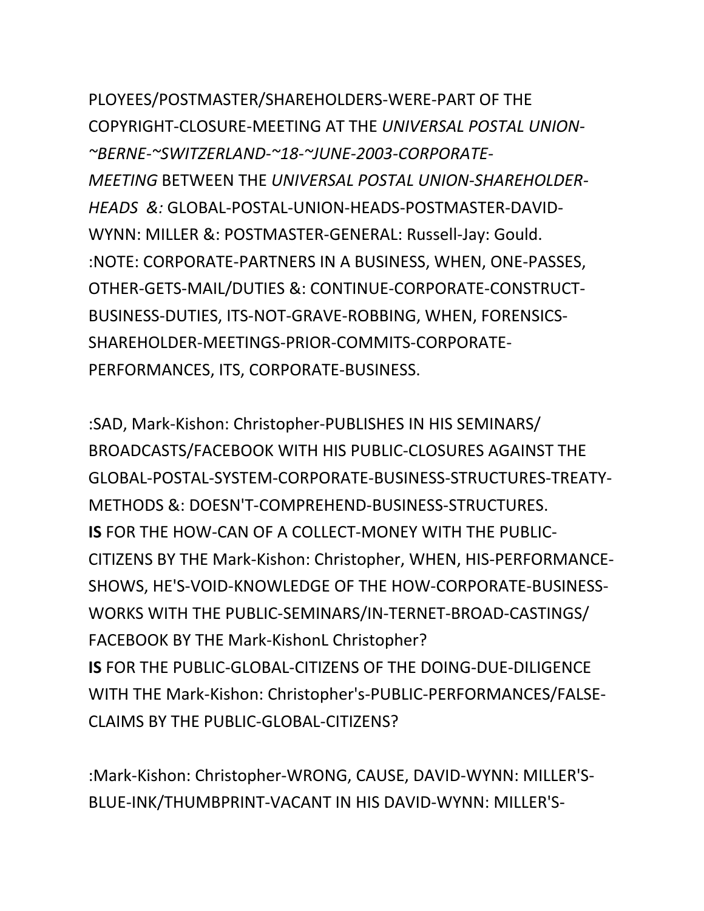PLOYEES/POSTMASTER/SHAREHOLDERS-WERE-PART OF THE COPYRIGHT-CLOSURE-MEETING AT THE *UNIVERSAL POSTAL UNION- ~BERNE-~SWITZERLAND-~18-~JUNE-2003-CORPORATE-*MEETING BETWEEN THE UNIVERSAL POSTAL UNION-SHAREHOLDER-*HEADS &:* GLOBAL-POSTAL-UNION-HEADS-POSTMASTER-DAVID-WYNN: MILLER &: POSTMASTER-GENERAL: Russell-Jay: Gould. :NOTE: CORPORATE-PARTNERS IN A BUSINESS, WHEN, ONE-PASSES, OTHER-GETS-MAIL/DUTIES &: CONTINUE-CORPORATE-CONSTRUCT-BUSINESS-DUTIES, ITS-NOT-GRAVE-ROBBING, WHEN, FORENSICS-SHAREHOLDER-MEETINGS-PRIOR-COMMITS-CORPORATE-PERFORMANCES, ITS, CORPORATE-BUSINESS.

:SAD, Mark-Kishon: Christopher-PUBLISHES IN HIS SEMINARS/ BROADCASTS/FACEBOOK WITH HIS PUBLIC-CLOSURES AGAINST THE GLOBAL-POSTAL-SYSTEM-CORPORATE-BUSINESS-STRUCTURES-TREATY-METHODS &: DOESN'T-COMPREHEND-BUSINESS-STRUCTURES. **IS** FOR THE HOW-CAN OF A COLLECT-MONEY WITH THE PUBLIC-CITIZENS BY THE Mark-Kishon: Christopher, WHEN, HIS-PERFORMANCE-SHOWS, HE'S-VOID-KNOWLEDGE OF THE HOW-CORPORATE-BUSINESS-WORKS WITH THE PUBLIC-SEMINARS/IN-TERNET-BROAD-CASTINGS/ FACEBOOK BY THE Mark-KishonL Christopher? **IS** FOR THE PUBLIC-GLOBAL-CITIZENS OF THE DOING-DUE-DILIGENCE WITH THE Mark-Kishon: Christopher's-PUBLIC-PERFORMANCES/FALSE-CLAIMS BY THE PUBLIC-GLOBAL-CITIZENS?

:Mark-Kishon: Christopher-WRONG, CAUSE, DAVID-WYNN: MILLER'S-BLUE-INK/THUMBPRINT-VACANT IN HIS DAVID-WYNN: MILLER'S-